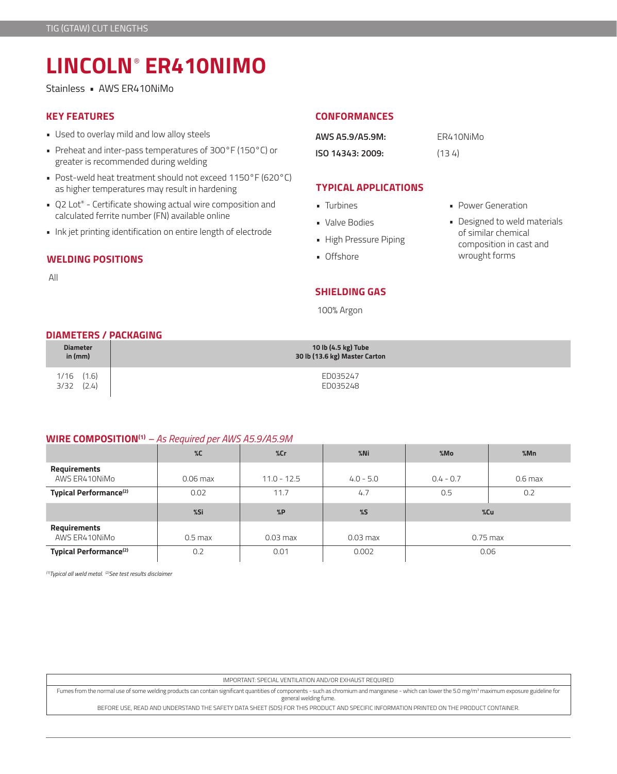# **LINCOLN**®  **ER410NIMO**

Stainless • AWS ER410NiMo

## **KEY FEATURES**

- Used to overlay mild and low alloy steels
- Preheat and inter-pass temperatures of 300°F (150°C) or greater is recommended during welding
- Post-weld heat treatment should not exceed 1150°F (620°C) as higher temperatures may result in hardening
- Q2 Lot® Certificate showing actual wire composition and calculated ferrite number (FN) available online
- Ink jet printing identification on entire length of electrode

# **WELDING POSITIONS**

All

# **CONFORMANCES**

| AWS A5.9/A5.9M:  | ER410NiMo |
|------------------|-----------|
| ISO 14343: 2009: | (134)     |

# **TYPICAL APPLICATIONS**

- Turbines
- Valve Bodies
- High Pressure Piping
- Offshore

• Power Generation

• Designed to weld materials of similar chemical composition in cast and wrought forms

# **SHIELDING GAS**

100% Argon

### **DIAMETERS / PACKAGING**

| <b>Diameter</b>                | 10 lb (4.5 kg) Tube           |
|--------------------------------|-------------------------------|
| in $(mm)$                      | 30 lb (13.6 kg) Master Carton |
| (1.6)<br>1/16<br>(2.4)<br>3/32 | ED035247<br>ED035248          |

## **WIRE COMPOSITION(1)** *– As Required per AWS A5.9/A5.9M*

|                                    | $\%C$      | %cr           | $%$ Ni      | %Mo         | %Mn       |
|------------------------------------|------------|---------------|-------------|-------------|-----------|
| Requirements<br>AWS ER410NiMo      | $0.06$ max | $11.0 - 12.5$ | $4.0 - 5.0$ | $0.4 - 0.7$ | $0.6$ max |
| Typical Performance <sup>(2)</sup> | 0.02       | 11.7          | 4.7         | 0.5         | 0.2       |
|                                    | %Si        | %P            | $\%$        | %Cu         |           |
| Requirements<br>AWS ER410NiMo      | $0.5$ max  | $0.03$ max    | $0.03$ max  | $0.75$ max  |           |
| Typical Performance <sup>(2)</sup> | 0.2        | 0.01          | 0.002       | 0.06        |           |

*(1)Typical all weld metal. (2)See test results disclaimer* 

IMPORTANT: SPECIAL VENTILATION AND/OR EXHAUST REQUIRED

Fumes from the normal use of some welding products can contain significant quantities of components - such as chromium and manganese - which can lower the 5.0 mg/m3 maximum exposure guideline for general welding fume.

BEFORE USE, READ AND UNDERSTAND THE SAFETY DATA SHEET (SDS) FOR THIS PRODUCT AND SPECIFIC INFORMATION PRINTED ON THE PRODUCT CONTAINER.